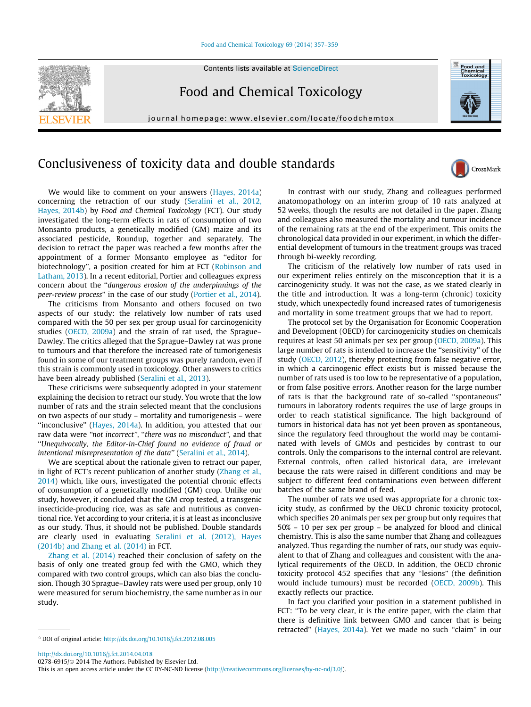## [Food and Chemical Toxicology 69 \(2014\) 357–359](http://dx.doi.org/10.1016/j.fct.2012.08.005)



Food and Chemical Toxicology

journal homepage: [www.elsevier.com/locate/foodchemtox](http://www.elsevier.com/locate/foodchemtox)



## Conclusiveness of toxicity data and double standards



We would like to comment on your answers ([Hayes, 2014a\)](#page-1-0) concerning the retraction of our study [\(Seralini et al., 2012,](#page-1-0) [Hayes, 2014b\)](#page-1-0) by Food and Chemical Toxicology (FCT). Our study investigated the long-term effects in rats of consumption of two Monsanto products, a genetically modified (GM) maize and its associated pesticide, Roundup, together and separately. The decision to retract the paper was reached a few months after the appointment of a former Monsanto employee as ''editor for biotechnology'', a position created for him at FCT [\(Robinson and](#page-1-0) [Latham, 2013\)](#page-1-0). In a recent editorial, Portier and colleagues express concern about the ''dangerous erosion of the underpinnings of the peer-review process'' in the case of our study [\(Portier et al., 2014](#page-1-0)).

The criticisms from Monsanto and others focused on two aspects of our study: the relatively low number of rats used compared with the 50 per sex per group usual for carcinogenicity studies [\(OECD, 2009a\)](#page-1-0) and the strain of rat used, the Sprague– Dawley. The critics alleged that the Sprague–Dawley rat was prone to tumours and that therefore the increased rate of tumorigenesis found in some of our treatment groups was purely random, even if this strain is commonly used in toxicology. Other answers to critics have been already published ([Seralini et al., 2013](#page-1-0)).

These criticisms were subsequently adopted in your statement explaining the decision to retract our study. You wrote that the low number of rats and the strain selected meant that the conclusions on two aspects of our study – mortality and tumorigenesis – were "inconclusive" ([Hayes, 2014a\)](#page-1-0). In addition, you attested that our raw data were "not incorrect", "there was no misconduct", and that ''Unequivocally, the Editor-in-Chief found no evidence of fraud or intentional misrepresentation of the data'' [\(Seralini et al., 2014\)](#page-1-0).

We are sceptical about the rationale given to retract our paper, in light of FCT's recent publication of another study ([Zhang et al.,](#page-2-0) [2014\)](#page-2-0) which, like ours, investigated the potential chronic effects of consumption of a genetically modified (GM) crop. Unlike our study, however, it concluded that the GM crop tested, a transgenic insecticide-producing rice, was as safe and nutritious as conventional rice. Yet according to your criteria, it is at least as inconclusive as our study. Thus, it should not be published. Double standards are clearly used in evaluating [Seralini et al. \(2012\), Hayes](#page-1-0) [\(2014b\) and Zhang et al. \(2014\)](#page-1-0) in FCT.

[Zhang et al. \(2014\)](#page-2-0) reached their conclusion of safety on the basis of only one treated group fed with the GMO, which they compared with two control groups, which can also bias the conclusion. Though 30 Sprague–Dawley rats were used per group, only 10 were measured for serum biochemistry, the same number as in our study.

In contrast with our study, Zhang and colleagues performed anatomopathology on an interim group of 10 rats analyzed at 52 weeks, though the results are not detailed in the paper. Zhang and colleagues also measured the mortality and tumour incidence of the remaining rats at the end of the experiment. This omits the chronological data provided in our experiment, in which the differential development of tumours in the treatment groups was traced through bi-weekly recording.

The criticism of the relatively low number of rats used in our experiment relies entirely on the misconception that it is a carcinogenicity study. It was not the case, as we stated clearly in the title and introduction. It was a long-term (chronic) toxicity study, which unexpectedly found increased rates of tumorigenesis and mortality in some treatment groups that we had to report.

The protocol set by the Organisation for Economic Cooperation and Development (OECD) for carcinogenicity studies on chemicals requires at least 50 animals per sex per group ([OECD, 2009a\)](#page-1-0). This large number of rats is intended to increase the ''sensitivity'' of the study ([OECD, 2012\)](#page-1-0), thereby protecting from false negative error, in which a carcinogenic effect exists but is missed because the number of rats used is too low to be representative of a population, or from false positive errors. Another reason for the large number of rats is that the background rate of so-called ''spontaneous'' tumours in laboratory rodents requires the use of large groups in order to reach statistical significance. The high background of tumors in historical data has not yet been proven as spontaneous, since the regulatory feed throughout the world may be contaminated with levels of GMOs and pesticides by contrast to our controls. Only the comparisons to the internal control are relevant. External controls, often called historical data, are irrelevant because the rats were raised in different conditions and may be subject to different feed contaminations even between different batches of the same brand of feed.

The number of rats we used was appropriate for a chronic toxicity study, as confirmed by the OECD chronic toxicity protocol, which specifies 20 animals per sex per group but only requires that 50% – 10 per sex per group – be analyzed for blood and clinical chemistry. This is also the same number that Zhang and colleagues analyzed. Thus regarding the number of rats, our study was equivalent to that of Zhang and colleagues and consistent with the analytical requirements of the OECD. In addition, the OECD chronic toxicity protocol 452 specifies that any ''lesions'' (the definition would include tumours) must be recorded [\(OECD, 2009b\)](#page-1-0). This exactly reflects our practice.

In fact you clarified your position in a statement published in FCT: ''To be very clear, it is the entire paper, with the claim that there is definitive link between GMO and cancer that is being retracted'' [\(Hayes, 2014a\)](#page-1-0). Yet we made no such ''claim'' in our

<http://dx.doi.org/10.1016/j.fct.2014.04.018>

0278-6915/© 2014 The Authors. Published by Elsevier Ltd.

This is an open access article under the CC BY-NC-ND license [\(http://creativecommons.org/licenses/by-nc-nd/3.0/](http://creativecommons.org/licenses/by-nc-nd/3.0/)).

 $*$  DOI of original article: <http://dx.doi.org/10.1016/j.fct.2012.08.005>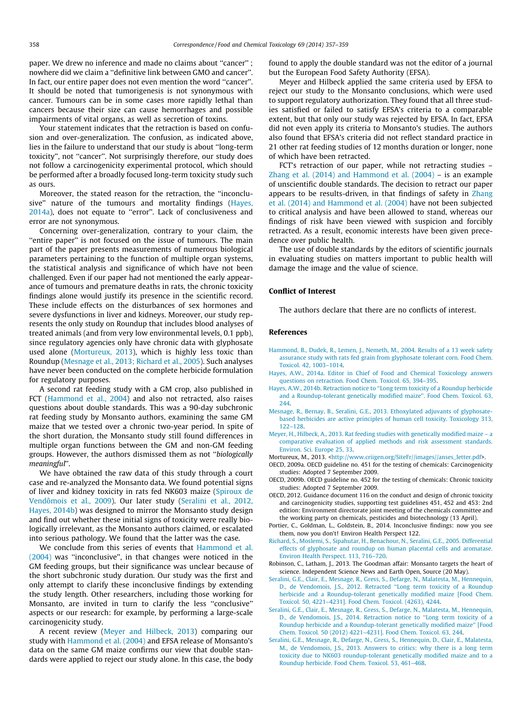<span id="page-1-0"></span>paper. We drew no inference and made no claims about ''cancer'' ; nowhere did we claim a ''definitive link between GMO and cancer''. In fact, our entire paper does not even mention the word "cancer". It should be noted that tumorigenesis is not synonymous with cancer. Tumours can be in some cases more rapidly lethal than cancers because their size can cause hemorrhages and possible impairments of vital organs, as well as secretion of toxins.

Your statement indicates that the retraction is based on confusion and over-generalization. The confusion, as indicated above, lies in the failure to understand that our study is about ''long-term toxicity'', not ''cancer''. Not surprisingly therefore, our study does not follow a carcinogenicity experimental protocol, which should be performed after a broadly focused long-term toxicity study such as ours.

Moreover, the stated reason for the retraction, the ''inconclusive'' nature of the tumours and mortality findings (Hayes, 2014a), does not equate to ''error''. Lack of conclusiveness and error are not synonymous.

Concerning over-generalization, contrary to your claim, the ''entire paper'' is not focused on the issue of tumours. The main part of the paper presents measurements of numerous biological parameters pertaining to the function of multiple organ systems, the statistical analysis and significance of which have not been challenged. Even if our paper had not mentioned the early appearance of tumours and premature deaths in rats, the chronic toxicity findings alone would justify its presence in the scientific record. These include effects on the disturbances of sex hormones and severe dysfunctions in liver and kidneys. Moreover, our study represents the only study on Roundup that includes blood analyses of treated animals (and from very low environmental levels, 0.1 ppb), since regulatory agencies only have chronic data with glyphosate used alone (Mortureux, 2013), which is highly less toxic than Roundup (Mesnage et al., 2013; Richard et al., 2005). Such analyses have never been conducted on the complete herbicide formulation for regulatory purposes.

A second rat feeding study with a GM crop, also published in FCT (Hammond et al., 2004) and also not retracted, also raises questions about double standards. This was a 90-day subchronic rat feeding study by Monsanto authors, examining the same GM maize that we tested over a chronic two-year period. In spite of the short duration, the Monsanto study still found differences in multiple organ functions between the GM and non-GM feeding groups. However, the authors dismissed them as not ''biologically meaningful''.

We have obtained the raw data of this study through a court case and re-analyzed the Monsanto data. We found potential signs of liver and kidney toxicity in rats fed NK603 maize [\(Spiroux de](#page-2-0) [Vendômois et al., 2009](#page-2-0)). Our later study (Seralini et al., 2012, Hayes, 2014b) was designed to mirror the Monsanto study design and find out whether these initial signs of toxicity were really biologically irrelevant, as the Monsanto authors claimed, or escalated into serious pathology. We found that the latter was the case.

We conclude from this series of events that Hammond et al. (2004) was ''inconclusive'', in that changes were noticed in the GM feeding groups, but their significance was unclear because of the short subchronic study duration. Our study was the first and only attempt to clarify these inconclusive findings by extending the study length. Other researchers, including those working for Monsanto, are invited in turn to clarify the less ''conclusive'' aspects or our research: for example, by performing a large-scale carcinogenicity study.

A recent review (Meyer and Hilbeck, 2013) comparing our study with Hammond et al. (2004) and EFSA release of Monsanto's data on the same GM maize confirms our view that double standards were applied to reject our study alone. In this case, the body found to apply the double standard was not the editor of a journal but the European Food Safety Authority (EFSA).

Meyer and Hilbeck applied the same criteria used by EFSA to reject our study to the Monsanto conclusions, which were used to support regulatory authorization. They found that all three studies satisfied or failed to satisfy EFSA's criteria to a comparable extent, but that only our study was rejected by EFSA. In fact, EFSA did not even apply its criteria to Monsanto's studies. The authors also found that EFSA's criteria did not reflect standard practice in 21 other rat feeding studies of 12 months duration or longer, none of which have been retracted.

FCT's retraction of our paper, while not retracting studies – [Zhang et al. \(2014\) and Hammond et al. \(2004\)](#page-2-0) – is an example of unscientific double standards. The decision to retract our paper appears to be results-driven, in that findings of safety in [Zhang](#page-2-0) [et al. \(2014\) and Hammond et al. \(2004\)](#page-2-0) have not been subjected to critical analysis and have been allowed to stand, whereas our findings of risk have been viewed with suspicion and forcibly retracted. As a result, economic interests have been given precedence over public health.

The use of double standards by the editors of scientific journals in evaluating studies on matters important to public health will damage the image and the value of science.

## Conflict of Interest

The authors declare that there are no conflicts of interest.

## References

- [Hammond, B., Dudek, R., Lemen, J., Nemeth, M., 2004. Results of a 13 week safety](http://refhub.elsevier.com/S0278-6915(14)00200-2/h0085) [assurance study with rats fed grain from glyphosate tolerant corn. Food Chem.](http://refhub.elsevier.com/S0278-6915(14)00200-2/h0085) [Toxicol. 42, 1003–1014.](http://refhub.elsevier.com/S0278-6915(14)00200-2/h0085)
- [Hayes, A.W., 2014a. Editor in Chief of Food and Chemical Toxicology answers](http://refhub.elsevier.com/S0278-6915(14)00200-2/h0090) [questions on retraction. Food Chem. Toxicol. 65, 394–395.](http://refhub.elsevier.com/S0278-6915(14)00200-2/h0090)
- [Hayes, A.W., 2014b. Retraction notice to ''Long term toxicity of a Roundup herbicide](http://refhub.elsevier.com/S0278-6915(14)00200-2/h9000) [and a Roundup-tolerant genetically modified maize''. Food Chem. Toxicol. 63,](http://refhub.elsevier.com/S0278-6915(14)00200-2/h9000) [244](http://refhub.elsevier.com/S0278-6915(14)00200-2/h9000).
- [Mesnage, R., Bernay, B., Seralini, G.E., 2013. Ethoxylated adjuvants of glyphosate](http://refhub.elsevier.com/S0278-6915(14)00200-2/h0095)[based herbicides are active principles of human cell toxicity. Toxicology 313,](http://refhub.elsevier.com/S0278-6915(14)00200-2/h0095) [122–128](http://refhub.elsevier.com/S0278-6915(14)00200-2/h0095).
- [Meyer, H., Hilbeck, A., 2013. Rat feeding studies with genetically modified maize a](http://refhub.elsevier.com/S0278-6915(14)00200-2/h0100) [comparative evaluation of applied methods and risk assessment standards.](http://refhub.elsevier.com/S0278-6915(14)00200-2/h0100) [Environ. Sci. Europe 25, 33.](http://refhub.elsevier.com/S0278-6915(14)00200-2/h0100)

Mortureux, M., 2013. <[http://www.criigen.org/SiteFr//images//anses\\_letter.pdf](http://www.criigen.org/SiteFr//images//anses_letter.pdf)>.

- OECD, 2009a. OECD guideline no. 451 for the testing of chemicals: Carcinogenicity studies: Adopted 7 September 2009.
- OECD, 2009b. OECD guideline no. 452 for the testing of chemicals: Chronic toxicity studies: Adopted 7 September 2009.
- OECD, 2012. Guidance document 116 on the conduct and design of chronic toxicity and carcinogenicity studies, supporting test guidelines 451, 452 and 453: 2nd edition: Environment directorate joint meeting of the chemicals committee and the working party on chemicals, pesticides and biotechnology (13 April).
- Portier, C., Goldman, L., Goldstein, B., 2014. Inconclusive findings: now you see them, now you don't! Environ Health Perspect 122.
- [Richard, S., Moslemi, S., Sipahutar, H., Benachour, N., Seralini, G.E., 2005. Differential](http://refhub.elsevier.com/S0278-6915(14)00200-2/h0130) [effects of glyphosate and roundup on human placental cells and aromatase.](http://refhub.elsevier.com/S0278-6915(14)00200-2/h0130) [Environ Health Perspect. 113, 716–720.](http://refhub.elsevier.com/S0278-6915(14)00200-2/h0130)
- Robinson, C., Latham, J., 2013. The Goodman affair: Monsanto targets the heart of science. Independent Science News and Earth Open, Source (20 May).
- [Seralini, G.E., Clair, E., Mesnage, R., Gress, S., Defarge, N., Malatesta, M., Hennequin,](http://refhub.elsevier.com/S0278-6915(14)00200-2/h0140) [D., de Vendomois, J.S., 2012. Retracted ''Long term toxicity of a Roundup](http://refhub.elsevier.com/S0278-6915(14)00200-2/h0140) [herbicide and a Roundup-tolerant genetically modified maize \[Food Chem.](http://refhub.elsevier.com/S0278-6915(14)00200-2/h0140) [Toxicol. 50, 4221–4231\]. Food Chem. Toxicol. \(4263\), 4244](http://refhub.elsevier.com/S0278-6915(14)00200-2/h0140).
- [Seralini, G.E., Clair, E., Mesnage, R., Gress, S., Defarge, N., Malatesta, M., Hennequin,](http://refhub.elsevier.com/S0278-6915(14)00200-2/h0145) [D., de Vendomois, J.S., 2014. Retraction notice to ''Long term toxicity of a](http://refhub.elsevier.com/S0278-6915(14)00200-2/h0145) [Roundup herbicide and a Roundup-tolerant genetically modified maize'' \[Food](http://refhub.elsevier.com/S0278-6915(14)00200-2/h0145) [Chem. Toxicol. 50 \(2012\) 4221–4231\]. Food Chem. Toxicol. 63, 244.](http://refhub.elsevier.com/S0278-6915(14)00200-2/h0145)
- [Seralini, G.E., Mesnage, R., Defarge, N., Gress, S., Hennequin, D., Clair, E., Malatesta,](http://refhub.elsevier.com/S0278-6915(14)00200-2/h0150) [M., de Vendomois, J.S., 2013. Answers to critics: why there is a long term](http://refhub.elsevier.com/S0278-6915(14)00200-2/h0150) [toxicity due to NK603 roundup-tolerant genetically modified maize and to a](http://refhub.elsevier.com/S0278-6915(14)00200-2/h0150) [Roundup herbicide. Food Chem. Toxicol. 53, 461–468.](http://refhub.elsevier.com/S0278-6915(14)00200-2/h0150)